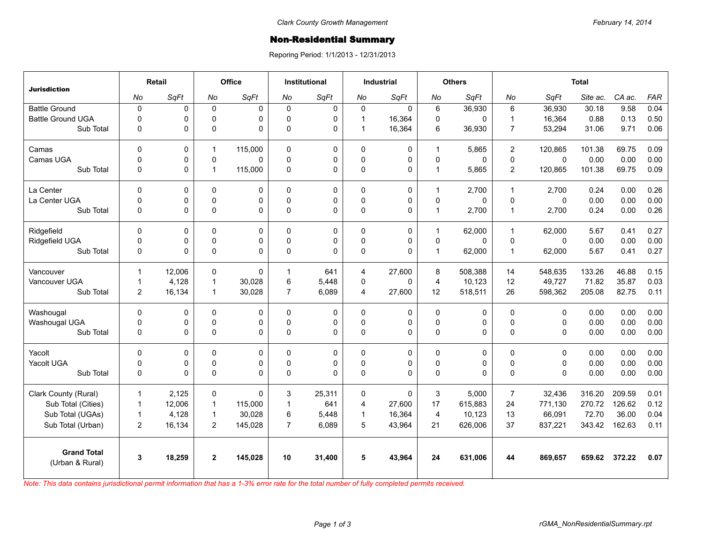## **Non-Residential Summary**

Reporing Period: 1/1/2013 - 12/31/2013

| <b>Jurisdiction</b>                   | Retail         |        | Office         |             | <b>Institutional</b> |        | <b>Industrial</b> |             | <b>Others</b>  |          | <b>Total</b>   |             |          |        |      |
|---------------------------------------|----------------|--------|----------------|-------------|----------------------|--------|-------------------|-------------|----------------|----------|----------------|-------------|----------|--------|------|
|                                       | No             | SqFt   | No             | SqFt        | No                   | SqFt   | No                | SqFt        | No             | SqFt     | No             | SqFt        | Site ac. | CA ac. | FAR  |
| <b>Battle Ground</b>                  | $\mathbf 0$    | 0      | $\mathbf{0}$   | $\Omega$    | $\Omega$             | 0      | $\mathbf{0}$      | $\Omega$    | 6              | 36,930   | 6              | 36,930      | 30.18    | 9.58   | 0.04 |
| <b>Battle Ground UGA</b>              | $\mathbf 0$    | 0      | 0              | 0           | $\Omega$             | 0      | $\mathbf{1}$      | 16,364      | 0              | 0        | $\mathbf 1$    | 16,364      | 0.88     | 0.13   | 0.50 |
| Sub Total                             | $\mathbf 0$    | 0      | $\Omega$       | $\Omega$    | $\Omega$             | 0      | $\mathbf{1}$      | 16,364      | 6              | 36,930   | $\overline{7}$ | 53,294      | 31.06    | 9.71   | 0.06 |
| Camas                                 | $\Omega$       | 0      | $\mathbf{1}$   | 115,000     | $\Omega$             | 0      | $\Omega$          | $\mathbf 0$ | $\mathbf{1}$   | 5,865    | $\overline{2}$ | 120,865     | 101.38   | 69.75  | 0.09 |
| Camas UGA                             | $\mathbf 0$    | 0      | 0              | $\Omega$    | $\mathbf 0$          | 0      | 0                 | $\pmb{0}$   | $\mathbf 0$    | 0        | 0              | $\mathsf 0$ | 0.00     | 0.00   | 0.00 |
| Sub Total                             | $\mathbf 0$    | 0      | $\mathbf{1}$   | 115,000     | $\Omega$             | 0      | 0                 | $\Omega$    | $\mathbf{1}$   | 5,865    | $\overline{2}$ | 120,865     | 101.38   | 69.75  | 0.09 |
| La Center                             | $\Omega$       | 0      | $\Omega$       | 0           | $\Omega$             | 0      | $\Omega$          | $\mathbf 0$ | $\mathbf{1}$   | 2.700    | $\mathbf{1}$   | 2,700       | 0.24     | 0.00   | 0.26 |
| La Center UGA                         | $\mathbf 0$    | 0      | 0              | $\pmb{0}$   | $\mathbf{0}$         | 0      | 0                 | $\pmb{0}$   | $\mathbf 0$    | $\Omega$ | $\mathbf 0$    | $\mathbf 0$ | 0.00     | 0.00   | 0.00 |
| Sub Total                             | $\mathbf 0$    | 0      | 0              | $\Omega$    | $\Omega$             | 0      | $\Omega$          | $\Omega$    | $\mathbf{1}$   | 2,700    | $\overline{1}$ | 2,700       | 0.24     | 0.00   | 0.26 |
| Ridgefield                            | $\Omega$       | 0      | $\Omega$       | $\Omega$    | $\Omega$             | 0      | $\Omega$          | $\mathbf 0$ | $\mathbf{1}$   | 62,000   | $\mathbf 1$    | 62,000      | 5.67     | 0.41   | 0.27 |
| Ridgefield UGA                        | 0              | 0      | $\mathbf 0$    | 0           | $\Omega$             | 0      | 0                 | $\pmb{0}$   | $\mathbf 0$    | 0        | $\mathbf 0$    | $\mathbf 0$ | 0.00     | 0.00   | 0.00 |
| Sub Total                             | $\mathbf 0$    | 0      | 0              | $\Omega$    | $\Omega$             | 0      | 0                 | $\Omega$    | $\mathbf{1}$   | 62,000   | $\overline{1}$ | 62,000      | 5.67     | 0.41   | 0.27 |
| Vancouver                             | $\mathbf{1}$   | 12,006 | 0              | $\Omega$    |                      | 641    | $\overline{4}$    | 27,600      | 8              | 508,388  | 14             | 548,635     | 133.26   | 46.88  | 0.15 |
| Vancouver UGA                         | $\mathbf{1}$   | 4,128  | $\mathbf{1}$   | 30,028      | 6                    | 5,448  | 0                 | $\Omega$    | $\overline{4}$ | 10.123   | 12             | 49,727      | 71.82    | 35.87  | 0.03 |
| Sub Total                             | $\overline{2}$ | 16,134 | $\mathbf{1}$   | 30,028      | $\overline{7}$       | 6,089  | 4                 | 27,600      | 12             | 518,511  | 26             | 598,362     | 205.08   | 82.75  | 0.11 |
| Washougal                             | $\Omega$       | 0      | 0              | $\Omega$    | $\Omega$             | 0      | $\mathbf{0}$      | 0           | 0              | 0        | $\Omega$       | $\Omega$    | 0.00     | 0.00   | 0.00 |
| Washougal UGA                         | $\mathbf 0$    | 0      | $\Omega$       | 0           | $\Omega$             | 0      | $\Omega$          | $\mathbf 0$ | 0              | 0        | $\Omega$       | $\Omega$    | 0.00     | 0.00   | 0.00 |
| Sub Total                             | $\mathbf 0$    | 0      | 0              | $\Omega$    | $\Omega$             | 0      | 0                 | $\Omega$    | 0              | $\Omega$ | $\Omega$       | 0           | 0.00     | 0.00   | 0.00 |
| Yacolt                                | 0              | 0      | 0              | 0           | $\Omega$             | 0      | 0                 | 0           | 0              | 0        | $\Omega$       | $\mathbf 0$ | 0.00     | 0.00   | 0.00 |
| Yacolt UGA                            | $\mathbf 0$    | 0      | $\Omega$       | $\mathbf 0$ | $\Omega$             | 0      | 0                 | $\mathbf 0$ | $\mathbf 0$    | 0        | $\Omega$       | $\Omega$    | 0.00     | 0.00   | 0.00 |
| Sub Total                             | 0              | 0      | 0              | $\Omega$    | $\Omega$             | 0      | 0                 | $\Omega$    | 0              | 0        | 0              | 0           | 0.00     | 0.00   | 0.00 |
| Clark County (Rural)                  | $\mathbf{1}$   | 2,125  | 0              | $\Omega$    | 3                    | 25,311 | 0                 | $\Omega$    | 3              | 5,000    | $\overline{7}$ | 32,436      | 316.20   | 209.59 | 0.01 |
| Sub Total (Cities)                    | $\mathbf{1}$   | 12,006 | $\overline{1}$ | 115,000     | $\mathbf{1}$         | 641    | 4                 | 27,600      | 17             | 615,883  | 24             | 771,130     | 270.72   | 126.62 | 0.12 |
| Sub Total (UGAs)                      | $\mathbf{1}$   | 4,128  | $\mathbf{1}$   | 30,028      | 6                    | 5,448  | $\mathbf{1}$      | 16,364      | 4              | 10,123   | 13             | 66,091      | 72.70    | 36.00  | 0.04 |
| Sub Total (Urban)                     | $\overline{2}$ | 16,134 | $\overline{2}$ | 145,028     | $\overline{7}$       | 6,089  | 5                 | 43,964      | 21             | 626,006  | 37             | 837,221     | 343.42   | 162.63 | 0.11 |
| <b>Grand Total</b><br>(Urban & Rural) | 3              | 18,259 | $\mathbf{2}$   | 145,028     | 10                   | 31,400 | 5                 | 43,964      | 24             | 631,006  | 44             | 869,657     | 659.62   | 372.22 | 0.07 |

*Note: This data contains jurisdictional permit information that has a 1-3% error rate for the total number of fully completed permits received.*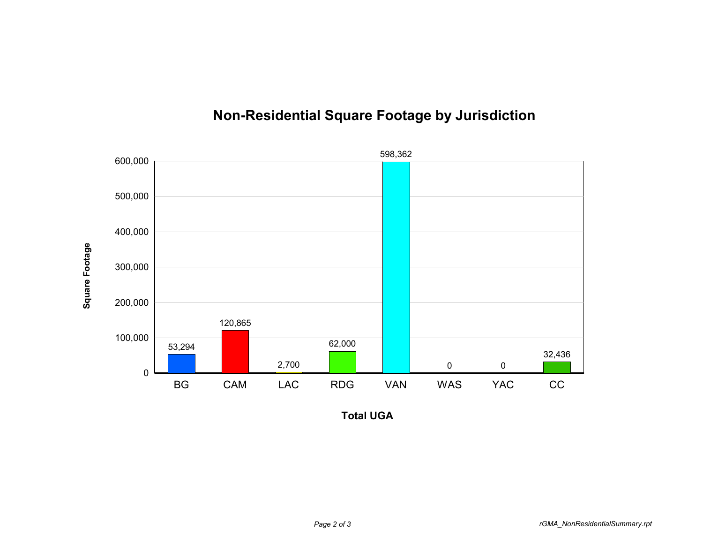

## **Non-Residential Square Footage by Jurisdiction**

**Total UGA**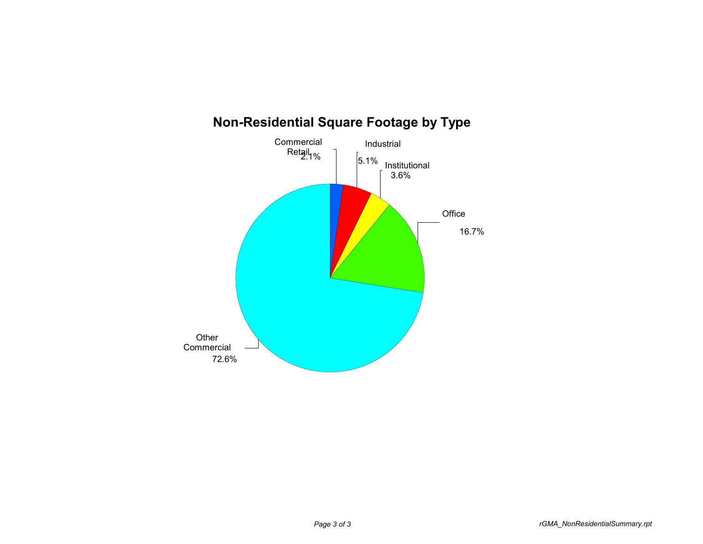

## **Non-Residential Square Footage by Type**